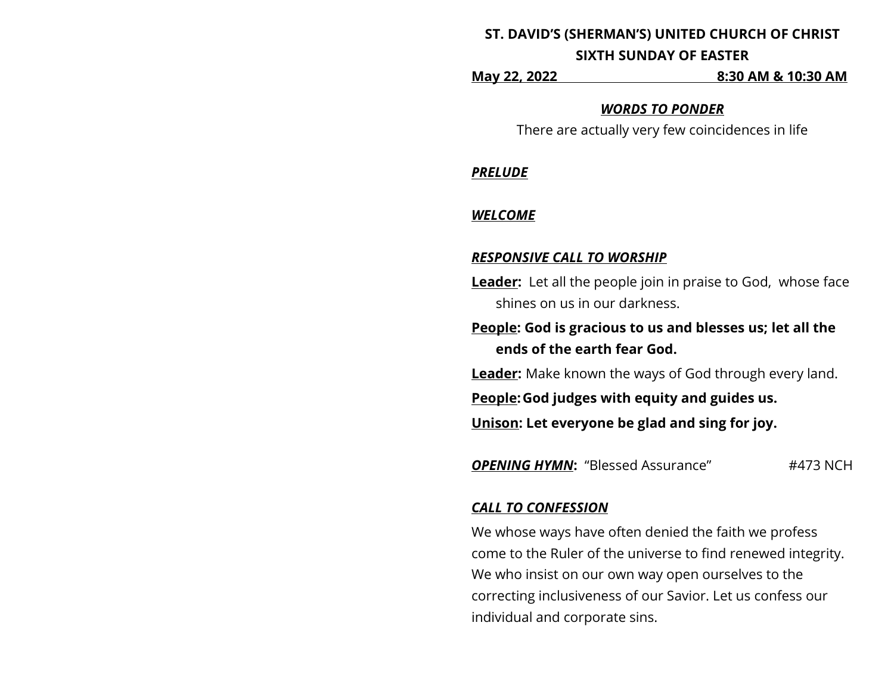# **ST. DAVID'S (SHERMAN'S) UNITED CHURCH OF CHRIST SIXTH SUNDAY OF EASTER**

**May 22, 2022 8:30 AM & 10:30 AM**

### *WORDS TO PONDER*

There are actually very few coincidences in life

*PRELUDE*

## *WELCOME*

## *RESPONSIVE CALL TO WORSHIP*

**Leader:** Let all the people join in praise to God, whose face shines on us in our darkness.

**People: God is gracious to us and blesses us; let all the ends of the earth fear God.**

**Leader:** Make known the ways of God through every land.

**People:God judges with equity and guides us.**

**Unison: Let everyone be glad and sing for joy.**

**OPENING HYMN:** "Blessed Assurance" #473 NCH

## *CALL TO CONFESSION*

We whose ways have often denied the faith we profess come to the Ruler of the universe to find renewed integrity. We who insist on our own way open ourselves to the correcting inclusiveness of our Savior. Let us confess our individual and corporate sins.